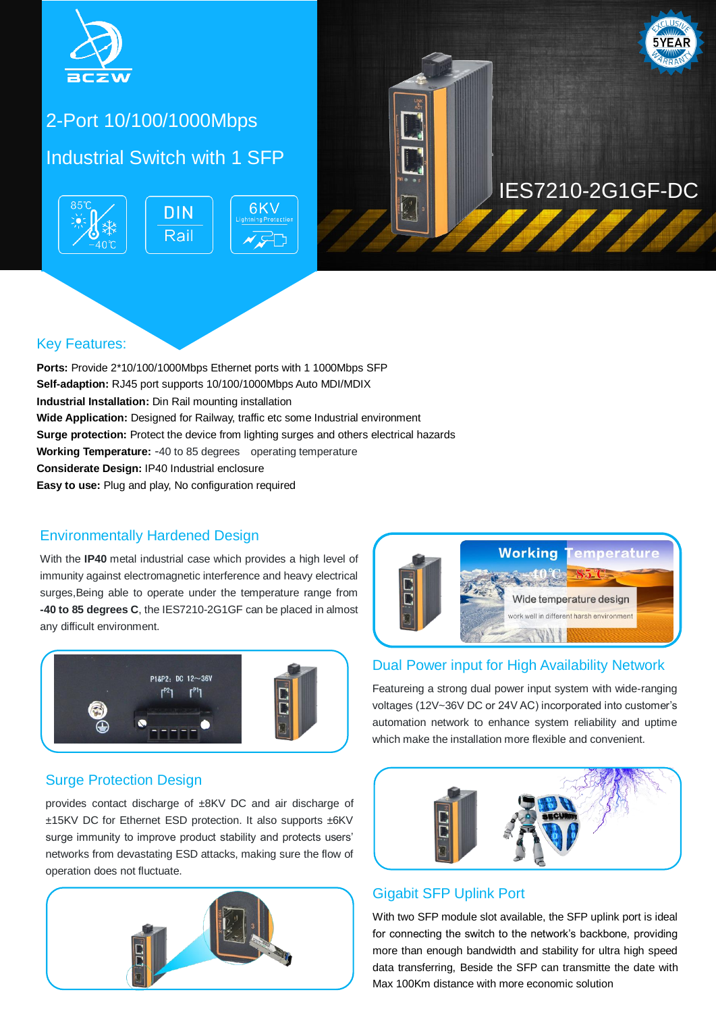

## 2-Port 10/100/1000Mbps

### Industrial Switch with 1 SFP





#### Key Features:

Ports: Provide 2\*10/100/1000Mbps Ethernet ports with 1 1000Mbps SFP **Self-adaption:** RJ45 port supports 10/100/1000Mbps Auto MDI/MDIX **Industrial Installation:** Din Rail mounting installation **Wide Application:** Designed for Railway, traffic etc some Industrial environment **Surge protection:** Protect the device from lighting surges and others electrical hazards **Working Temperature:** -40 to 85 degrees operating temperature **Considerate Design:** IP40 Industrial enclosure **Easy to use:** Plug and play, No configuration required

#### Environmentally Hardened Design

With the **IP40** metal industrial case which provides a high level of immunity against electromagnetic interference and heavy electrical surges,Being able to operate under the temperature range from **-40 to 85 degrees C**, the IES7210-2G1GF can be placed in almost any difficult environment.



# **Working** Wide temperature design work well in different harsh environment  $\leq$

#### Dual Power input for High Availability Network

Featureing a strong dual power input system with wide-ranging voltages (12V~36V DC or 24V AC) incorporated into customer's automation network to enhance system reliability and uptime which make the installation more flexible and convenient.

#### Surge Protection Design

provides contact discharge of ±8KV DC and air discharge of ±15KV DC for Ethernet ESD protection. It also supports ±6KV surge immunity to improve product stability and protects users' networks from devastating ESD attacks, making sure the flow of operation does not fluctuate.





### Gigabit SFP Uplink Port

With two SFP module slot available, the SFP uplink port is ideal for connecting the switch to the network's backbone, providing more than enough bandwidth and stability for ultra high speed data transferring, Beside the SFP can transmitte the date with Max 100Km distance with more economic solution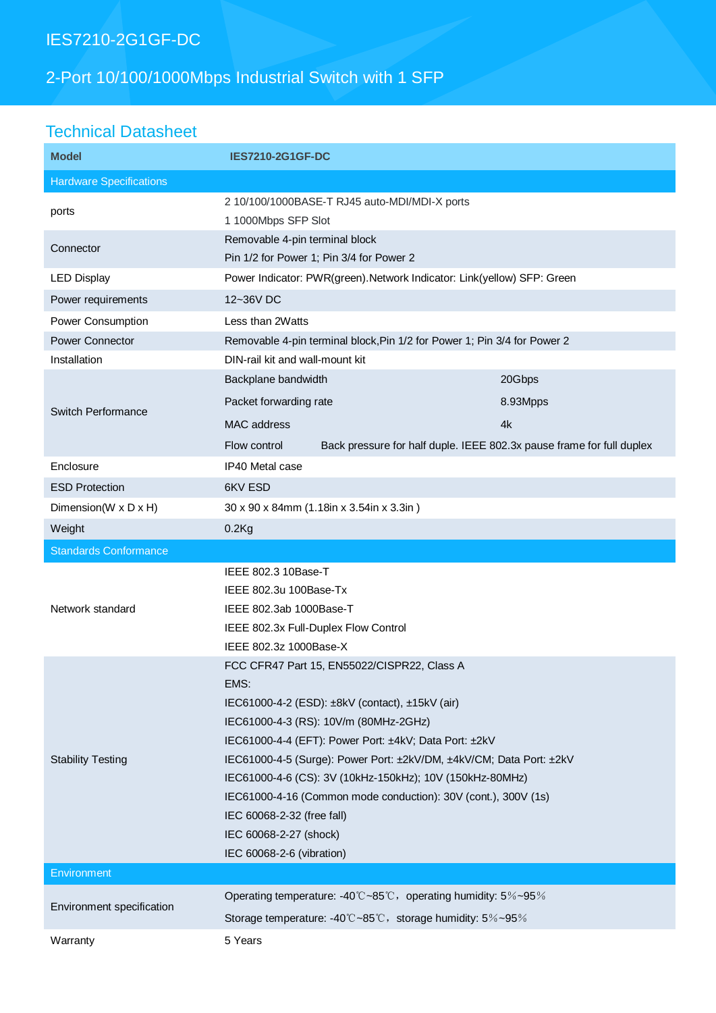### IES7210-2G1GF-DC

# 2-Port 10/100/1000Mbps Industrial Switch with 1 SFP

### Technical Datasheet

| <b>Model</b>                   | <b>IES7210-2G1GF-DC</b>                                                                                                                                                                                                                                                                                                                                                                                                                                                                            |          |  |
|--------------------------------|----------------------------------------------------------------------------------------------------------------------------------------------------------------------------------------------------------------------------------------------------------------------------------------------------------------------------------------------------------------------------------------------------------------------------------------------------------------------------------------------------|----------|--|
| <b>Hardware Specifications</b> |                                                                                                                                                                                                                                                                                                                                                                                                                                                                                                    |          |  |
| ports                          | 2 10/100/1000BASE-T RJ45 auto-MDI/MDI-X ports<br>1 1000Mbps SFP Slot                                                                                                                                                                                                                                                                                                                                                                                                                               |          |  |
| Connector                      | Removable 4-pin terminal block<br>Pin 1/2 for Power 1; Pin 3/4 for Power 2                                                                                                                                                                                                                                                                                                                                                                                                                         |          |  |
| <b>LED Display</b>             | Power Indicator: PWR(green). Network Indicator: Link(yellow) SFP: Green                                                                                                                                                                                                                                                                                                                                                                                                                            |          |  |
| Power requirements             | 12~36V DC                                                                                                                                                                                                                                                                                                                                                                                                                                                                                          |          |  |
| Power Consumption              | Less than 2Watts                                                                                                                                                                                                                                                                                                                                                                                                                                                                                   |          |  |
| <b>Power Connector</b>         | Removable 4-pin terminal block, Pin 1/2 for Power 1; Pin 3/4 for Power 2                                                                                                                                                                                                                                                                                                                                                                                                                           |          |  |
| Installation                   | DIN-rail kit and wall-mount kit                                                                                                                                                                                                                                                                                                                                                                                                                                                                    |          |  |
| <b>Switch Performance</b>      | Backplane bandwidth                                                                                                                                                                                                                                                                                                                                                                                                                                                                                | 20Gbps   |  |
|                                | Packet forwarding rate                                                                                                                                                                                                                                                                                                                                                                                                                                                                             | 8.93Mpps |  |
|                                | MAC address                                                                                                                                                                                                                                                                                                                                                                                                                                                                                        | 4k       |  |
|                                | Back pressure for half duple. IEEE 802.3x pause frame for full duplex<br>Flow control                                                                                                                                                                                                                                                                                                                                                                                                              |          |  |
| Enclosure                      | IP40 Metal case                                                                                                                                                                                                                                                                                                                                                                                                                                                                                    |          |  |
| <b>ESD Protection</b>          | 6KV ESD                                                                                                                                                                                                                                                                                                                                                                                                                                                                                            |          |  |
| Dimension(W x D x H)           | 30 x 90 x 84mm (1.18in x 3.54in x 3.3in)                                                                                                                                                                                                                                                                                                                                                                                                                                                           |          |  |
| Weight                         | $0.2$ Kg                                                                                                                                                                                                                                                                                                                                                                                                                                                                                           |          |  |
| <b>Standards Conformance</b>   |                                                                                                                                                                                                                                                                                                                                                                                                                                                                                                    |          |  |
| Network standard               | IEEE 802.3 10Base-T<br>IEEE 802.3u 100Base-Tx<br>IEEE 802.3ab 1000Base-T<br>IEEE 802.3x Full-Duplex Flow Control<br>IEEE 802.3z 1000Base-X                                                                                                                                                                                                                                                                                                                                                         |          |  |
| <b>Stability Testing</b>       | FCC CFR47 Part 15, EN55022/CISPR22, Class A<br>EMS:<br>IEC61000-4-2 (ESD): ±8kV (contact), ±15kV (air)<br>IEC61000-4-3 (RS): 10V/m (80MHz-2GHz)<br>IEC61000-4-4 (EFT): Power Port: ±4kV; Data Port: ±2kV<br>IEC61000-4-5 (Surge): Power Port: ±2kV/DM, ±4kV/CM; Data Port: ±2kV<br>IEC61000-4-6 (CS): 3V (10kHz-150kHz); 10V (150kHz-80MHz)<br>IEC61000-4-16 (Common mode conduction): 30V (cont.), 300V (1s)<br>IEC 60068-2-32 (free fall)<br>IEC 60068-2-27 (shock)<br>IEC 60068-2-6 (vibration) |          |  |
| Environment                    |                                                                                                                                                                                                                                                                                                                                                                                                                                                                                                    |          |  |
| Environment specification      | Operating temperature: -40°C~85°C, operating humidity: 5%~95%                                                                                                                                                                                                                                                                                                                                                                                                                                      |          |  |
|                                | Storage temperature: -40°C~85°C, storage humidity: 5%~95%                                                                                                                                                                                                                                                                                                                                                                                                                                          |          |  |
| Warranty                       | 5 Years                                                                                                                                                                                                                                                                                                                                                                                                                                                                                            |          |  |